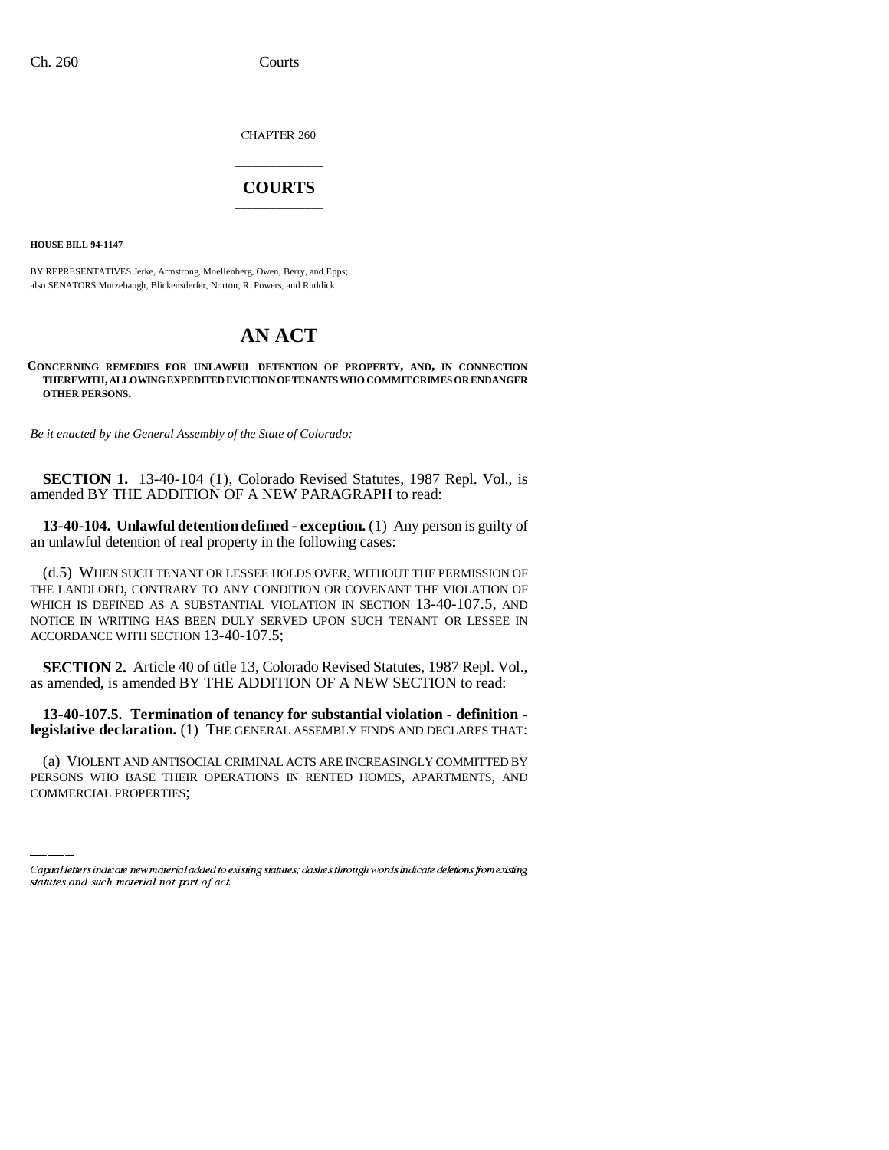CHAPTER 260

## \_\_\_\_\_\_\_\_\_\_\_\_\_\_\_ **COURTS** \_\_\_\_\_\_\_\_\_\_\_\_\_\_\_

**HOUSE BILL 94-1147**

BY REPRESENTATIVES Jerke, Armstrong, Moellenberg, Owen, Berry, and Epps; also SENATORS Mutzebaugh, Blickensderfer, Norton, R. Powers, and Ruddick.

## **AN ACT**

**CONCERNING REMEDIES FOR UNLAWFUL DETENTION OF PROPERTY, AND, IN CONNECTION THEREWITH, ALLOWING EXPEDITED EVICTION OF TENANTS WHO COMMIT CRIMES OR ENDANGER OTHER PERSONS.**

*Be it enacted by the General Assembly of the State of Colorado:*

**SECTION 1.** 13-40-104 (1), Colorado Revised Statutes, 1987 Repl. Vol., is amended BY THE ADDITION OF A NEW PARAGRAPH to read:

**13-40-104. Unlawful detention defined - exception.** (1) Any person is guilty of an unlawful detention of real property in the following cases:

(d.5) WHEN SUCH TENANT OR LESSEE HOLDS OVER, WITHOUT THE PERMISSION OF THE LANDLORD, CONTRARY TO ANY CONDITION OR COVENANT THE VIOLATION OF WHICH IS DEFINED AS A SUBSTANTIAL VIOLATION IN SECTION 13-40-107.5, AND NOTICE IN WRITING HAS BEEN DULY SERVED UPON SUCH TENANT OR LESSEE IN ACCORDANCE WITH SECTION 13-40-107.5;

**SECTION 2.** Article 40 of title 13, Colorado Revised Statutes, 1987 Repl. Vol., as amended, is amended BY THE ADDITION OF A NEW SECTION to read:

**13-40-107.5. Termination of tenancy for substantial violation - definition legislative declaration.** (1) THE GENERAL ASSEMBLY FINDS AND DECLARES THAT:

(a) VIOLENT AND ANTISOCIAL CRIMINAL ACTS ARE INCREASINGLY COMMITTED BY PERSONS WHO BASE THEIR OPERATIONS IN RENTED HOMES, APARTMENTS, AND COMMERCIAL PROPERTIES;

Capital letters indicate new material added to existing statutes; dashes through words indicate deletions from existing statutes and such material not part of act.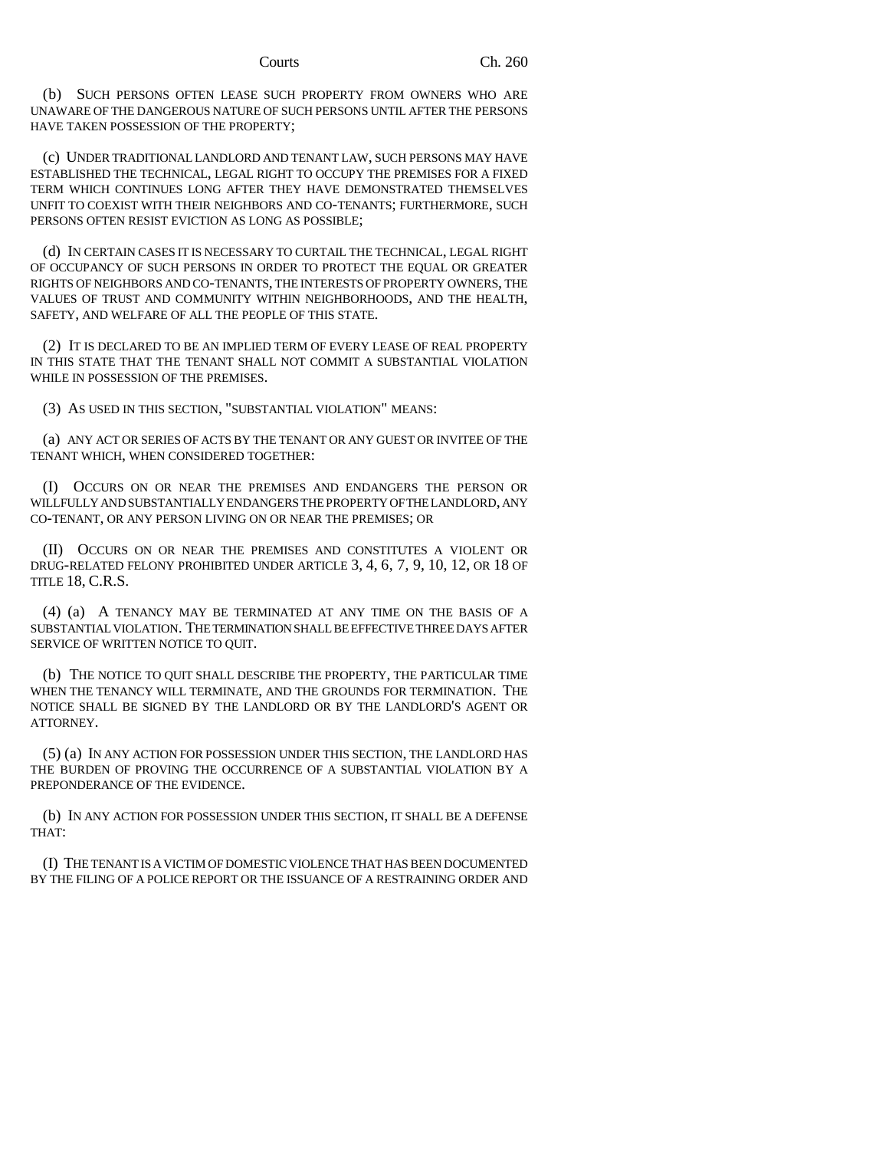## Courts Ch. 260

(b) SUCH PERSONS OFTEN LEASE SUCH PROPERTY FROM OWNERS WHO ARE UNAWARE OF THE DANGEROUS NATURE OF SUCH PERSONS UNTIL AFTER THE PERSONS HAVE TAKEN POSSESSION OF THE PROPERTY;

(c) UNDER TRADITIONAL LANDLORD AND TENANT LAW, SUCH PERSONS MAY HAVE ESTABLISHED THE TECHNICAL, LEGAL RIGHT TO OCCUPY THE PREMISES FOR A FIXED TERM WHICH CONTINUES LONG AFTER THEY HAVE DEMONSTRATED THEMSELVES UNFIT TO COEXIST WITH THEIR NEIGHBORS AND CO-TENANTS; FURTHERMORE, SUCH PERSONS OFTEN RESIST EVICTION AS LONG AS POSSIBLE;

(d) IN CERTAIN CASES IT IS NECESSARY TO CURTAIL THE TECHNICAL, LEGAL RIGHT OF OCCUPANCY OF SUCH PERSONS IN ORDER TO PROTECT THE EQUAL OR GREATER RIGHTS OF NEIGHBORS AND CO-TENANTS, THE INTERESTS OF PROPERTY OWNERS, THE VALUES OF TRUST AND COMMUNITY WITHIN NEIGHBORHOODS, AND THE HEALTH, SAFETY, AND WELFARE OF ALL THE PEOPLE OF THIS STATE.

(2) IT IS DECLARED TO BE AN IMPLIED TERM OF EVERY LEASE OF REAL PROPERTY IN THIS STATE THAT THE TENANT SHALL NOT COMMIT A SUBSTANTIAL VIOLATION WHILE IN POSSESSION OF THE PREMISES.

(3) AS USED IN THIS SECTION, "SUBSTANTIAL VIOLATION" MEANS:

(a) ANY ACT OR SERIES OF ACTS BY THE TENANT OR ANY GUEST OR INVITEE OF THE TENANT WHICH, WHEN CONSIDERED TOGETHER:

(I) OCCURS ON OR NEAR THE PREMISES AND ENDANGERS THE PERSON OR WILLFULLY AND SUBSTANTIALLY ENDANGERS THE PROPERTY OF THE LANDLORD, ANY CO-TENANT, OR ANY PERSON LIVING ON OR NEAR THE PREMISES; OR

(II) OCCURS ON OR NEAR THE PREMISES AND CONSTITUTES A VIOLENT OR DRUG-RELATED FELONY PROHIBITED UNDER ARTICLE 3, 4, 6, 7, 9, 10, 12, OR 18 OF TITLE 18, C.R.S.

(4) (a) A TENANCY MAY BE TERMINATED AT ANY TIME ON THE BASIS OF A SUBSTANTIAL VIOLATION. THE TERMINATION SHALL BE EFFECTIVE THREE DAYS AFTER SERVICE OF WRITTEN NOTICE TO QUIT.

(b) THE NOTICE TO QUIT SHALL DESCRIBE THE PROPERTY, THE PARTICULAR TIME WHEN THE TENANCY WILL TERMINATE, AND THE GROUNDS FOR TERMINATION. THE NOTICE SHALL BE SIGNED BY THE LANDLORD OR BY THE LANDLORD'S AGENT OR ATTORNEY.

(5) (a) IN ANY ACTION FOR POSSESSION UNDER THIS SECTION, THE LANDLORD HAS THE BURDEN OF PROVING THE OCCURRENCE OF A SUBSTANTIAL VIOLATION BY A PREPONDERANCE OF THE EVIDENCE.

(b) IN ANY ACTION FOR POSSESSION UNDER THIS SECTION, IT SHALL BE A DEFENSE THAT:

(I) THE TENANT IS A VICTIM OF DOMESTIC VIOLENCE THAT HAS BEEN DOCUMENTED BY THE FILING OF A POLICE REPORT OR THE ISSUANCE OF A RESTRAINING ORDER AND